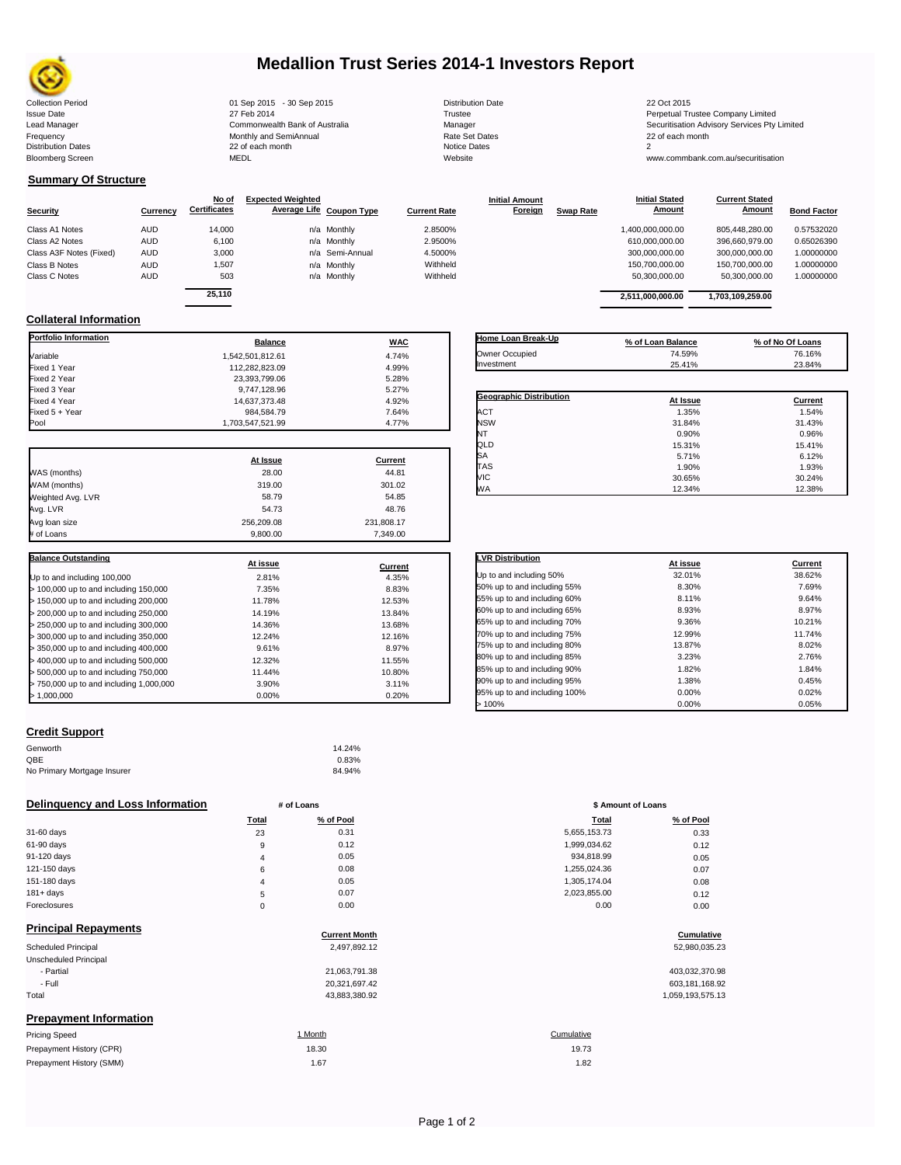

# **Medallion Trust Series 2014-1 Investors Report**

|                                |                                          | 22 Oct 2015                             |
|--------------------------------|------------------------------------------|-----------------------------------------|
|                                |                                          |                                         |
|                                | Trustee                                  | Perpetual Trustee Company Limited       |
| Commonwealth Bank of Australia | Manager                                  | Securitisation Advisory Services Pty Li |
| Monthly and SemiAnnual         | <b>Rate Set Dates</b>                    | 22 of each month                        |
| 22 of each month               | Notice Dates                             |                                         |
| <b>MEDL</b>                    | Website                                  | www.commbank.com.au/securitisation      |
|                                | 01 Sep 2015 - 30 Sep 2015<br>27 Feb 2014 | <b>Distribution Date</b>                |

**Initial Amount** 

**Current Stated** 

## **Summary Of Structure**

|                         |            | No of               | <b>Expected Weighted</b> |                 |                     | <b>Initial Amount</b> |                  | <b>Initial Stated</b> | <b>Current Stated</b> |                    |
|-------------------------|------------|---------------------|--------------------------|-----------------|---------------------|-----------------------|------------------|-----------------------|-----------------------|--------------------|
| <b>Security</b>         | Currency   | <b>Certificates</b> | Average Life Coupon Type |                 | <b>Current Rate</b> | Foreign               | <b>Swap Rate</b> | Amount                | <b>Amount</b>         | <b>Bond Factor</b> |
| Class A1 Notes          | <b>AUD</b> | 14,000              |                          | n/a Monthly     | 2.8500%             |                       |                  | 1,400,000,000.00      | 805.448.280.00        | 0.57532020         |
| Class A2 Notes          | <b>AUD</b> | 6.100               |                          | n/a Monthly     | 2.9500%             |                       |                  | 610.000.000.00        | 396.660.979.00        | 0.65026390         |
| Class A3F Notes (Fixed) | <b>AUD</b> | 3,000               |                          | n/a Semi-Annual | 4.5000%             |                       |                  | 300,000,000.00        | 300.000.000.00        | 1.00000000         |
| Class B Notes           | <b>AUD</b> | 1.507               |                          | n/a Monthly     | Withheld            |                       |                  | 150.700.000.00        | 150.700.000.00        | 1.00000000         |
| Class C Notes           | <b>AUD</b> | 503                 |                          | n/a Monthly     | Withheld            |                       |                  | 50.300.000.00         | 50.300.000.00         | 1.00000000         |
|                         |            | $-112$              |                          |                 |                     |                       |                  |                       |                       |                    |

| ificates | Average Life Coupon Type | <b>Current Rate</b> | Foreign | <b>Swap Rate</b> | Amount           | Amount           | <b>Bond Factor</b> |
|----------|--------------------------|---------------------|---------|------------------|------------------|------------------|--------------------|
| 14.000   | n/a Monthly              | 2.8500%             |         |                  | 1.400.000.000.00 | 805.448.280.00   | 0.57532020         |
| 6.100    | n/a Monthly              | 2.9500%             |         |                  | 610.000.000.00   | 396.660.979.00   | 0.65026390         |
| 3.000    | n/a Semi-Annual          | 4.5000%             |         |                  | 300.000.000.00   | 300.000.000.00   | 1.00000000         |
| 1,507    | n/a Monthly              | Withheld            |         |                  | 150.700.000.00   | 150.700.000.00   | 1.00000000         |
| 503      | n/a Monthly              | Withheld            |         |                  | 50.300.000.00    | 50.300.000.00    | 1.00000000         |
| 25.110   |                          |                     |         |                  | 2.511.000.000.00 | 1.703.109.259.00 |                    |
|          |                          |                     |         |                  |                  |                  |                    |

**Initial Stated** 

## **Collateral Information**

| Portfolio Information                   | <b>Balance</b>   | <b>WAC</b>     |
|-----------------------------------------|------------------|----------------|
| Variable                                | 1.542.501.812.61 | 4.74%          |
| Fixed 1 Year                            | 112,282,823.09   | 4.99%          |
| Fixed 2 Year                            | 23,393,799.06    | 5.28%          |
| Fixed 3 Year                            | 9,747,128.96     | 5.27%          |
| Fixed 4 Year                            | 14,637,373.48    | 4.92%          |
| Fixed 5 + Year                          | 984,584.79       | 7.64%          |
| Pool                                    | 1,703,547,521.99 | 4.77%          |
|                                         | At Issue         | Current        |
| WAS (months)                            | 28.00            | 44.81          |
| WAM (months)                            | 319.00           | 301.02         |
| Weighted Avg. LVR                       | 58.79            | 54.85          |
| Avg. LVR                                | 54.73            | 48.76          |
| Avg loan size                           | 256,209.08       | 231,808.17     |
| # of Loans                              | 9.800.00         | 7.349.00       |
|                                         |                  |                |
| <b>Balance Outstanding</b>              | At issue         | <b>Current</b> |
| Up to and including 100,000             | 2.81%            | 4.35%          |
| > 100,000 up to and including 150,000   | 7.35%            | 8.83%          |
| > 150,000 up to and including 200,000   | 11.78%           | 12.53%         |
| > 200,000 up to and including 250,000   | 14.19%           | 13.84%         |
| > 250,000 up to and including 300,000   | 14.36%           | 13.68%         |
| > 300,000 up to and including 350,000   | 12.24%           | 12.16%         |
| > 350,000 up to and including 400,000   | 9.61%            | 8.97%          |
| > 400,000 up to and including 500,000   | 12.32%           | 11.55%         |
| > 500,000 up to and including 750,000   | 11.44%           | 10.80%         |
| > 750,000 up to and including 1,000,000 | 3.90%            | 3.11%          |
| >1,000,000                              | 0.00%            | 0.20%          |

| Home Loan Break-Up      | % of Loan Balance | % of No Of Loans |
|-------------------------|-------------------|------------------|
| Owner Occupied          | 74.59%            | 76.16%           |
| Investment              | 25.41%            | 23.84%           |
|                         |                   |                  |
| Geographic Distribution | At Issue          | Current          |
| <b>ACT</b>              | 1.35%             | 1.54%            |
| <b>NSW</b>              | 31.84%            | 31.43%           |
| NT                      | 0.90%             | 0.96%            |
| QLD                     | 15.31%            | 15.41%           |
| SA                      | 5.71%             | 6.12%            |
| TAS                     | 1.90%             | 1.93%            |
| <b>VIC</b>              | 30.65%            | 30.24%           |
| <b>WA</b>               | 12.34%            | 12.38%           |

| <b>LVR Distribution</b>      | At issue | Current |
|------------------------------|----------|---------|
| Up to and including 50%      | 32.01%   | 38.62%  |
| 50% up to and including 55%  | 8.30%    | 7.69%   |
| 55% up to and including 60%  | 8.11%    | 9.64%   |
| 60% up to and including 65%  | 8.93%    | 8.97%   |
| 65% up to and including 70%  | 9.36%    | 10.21%  |
| 70% up to and including 75%  | 12.99%   | 11.74%  |
| 75% up to and including 80%  | 13.87%   | 8.02%   |
| 80% up to and including 85%  | 3.23%    | 2.76%   |
| 85% up to and including 90%  | 1.82%    | 1.84%   |
| 90% up to and including 95%  | 1.38%    | 0.45%   |
| 95% up to and including 100% | 0.00%    | 0.02%   |
| >100%                        | 0.00%    | 0.05%   |

### **Credit Support**

Prepayment History (SMM)

| Genworth                    | 14.24% |
|-----------------------------|--------|
| OBE                         | 0.83%  |
| No Primary Mortgage Insurer | 84.94% |

### **Delinquency and Loss Information # of Loans # of Loans \$ Amount of Loans**

|              | Total    | % of Pool | <b>Total</b> | % of Pool |
|--------------|----------|-----------|--------------|-----------|
| 31-60 days   | 23       | 0.31      | 5,655,153.73 | 0.33      |
| 61-90 days   | 9        | 0.12      | 1,999,034.62 | 0.12      |
| 91-120 days  | 4        | 0.05      | 934.818.99   | 0.05      |
| 121-150 days | 6        | 0.08      | 1,255,024.36 | 0.07      |
| 151-180 days | 4        | 0.05      | 1.305.174.04 | 0.08      |
| $181 + days$ | 5        | 0.07      | 2,023,855.00 | 0.12      |
| Foreclosures | $\Omega$ | 0.00      | 0.00         | 0.00      |

| <b>Principal Repayments</b>   | <b>Current Month</b> | Cumulative       |
|-------------------------------|----------------------|------------------|
|                               |                      |                  |
| Scheduled Principal           | 2,497,892.12         | 52,980,035.23    |
| Unscheduled Principal         |                      |                  |
| - Partial                     | 21,063,791.38        | 403,032,370.98   |
| - Full                        | 20,321,697.42        | 603,181,168.92   |
| Total                         | 43,883,380.92        | 1,059,193,575.13 |
| <b>Prepayment Information</b> |                      |                  |
| <b>Pricing Speed</b>          | 1 Month              | Cumulative       |
| Prepayment History (CPR)      | 18.30                | 19.73            |

| Total | % of Pool | <b>Total</b> | % of Pool |
|-------|-----------|--------------|-----------|
| 23    | 0.31      | 5,655,153.73 | 0.33      |
| 9     | 0.12      | 1,999,034.62 | 0.12      |
| 4     | 0.05      | 934,818.99   | 0.05      |
| 6     | 0.08      | 1,255,024.36 | 0.07      |
| 4     | 0.05      | 1,305,174.04 | 0.08      |
| 5     | 0.07      | 2,023,855.00 | 0.12      |
| 0     | 0.00      | 0.00         | 0.00      |
|       |           |              |           |

# **Cumulative**

| 403,032,370.98   |
|------------------|
| 603,181,168.92   |
| 1.059.193.575.13 |

## 1.67 1.82 19.73